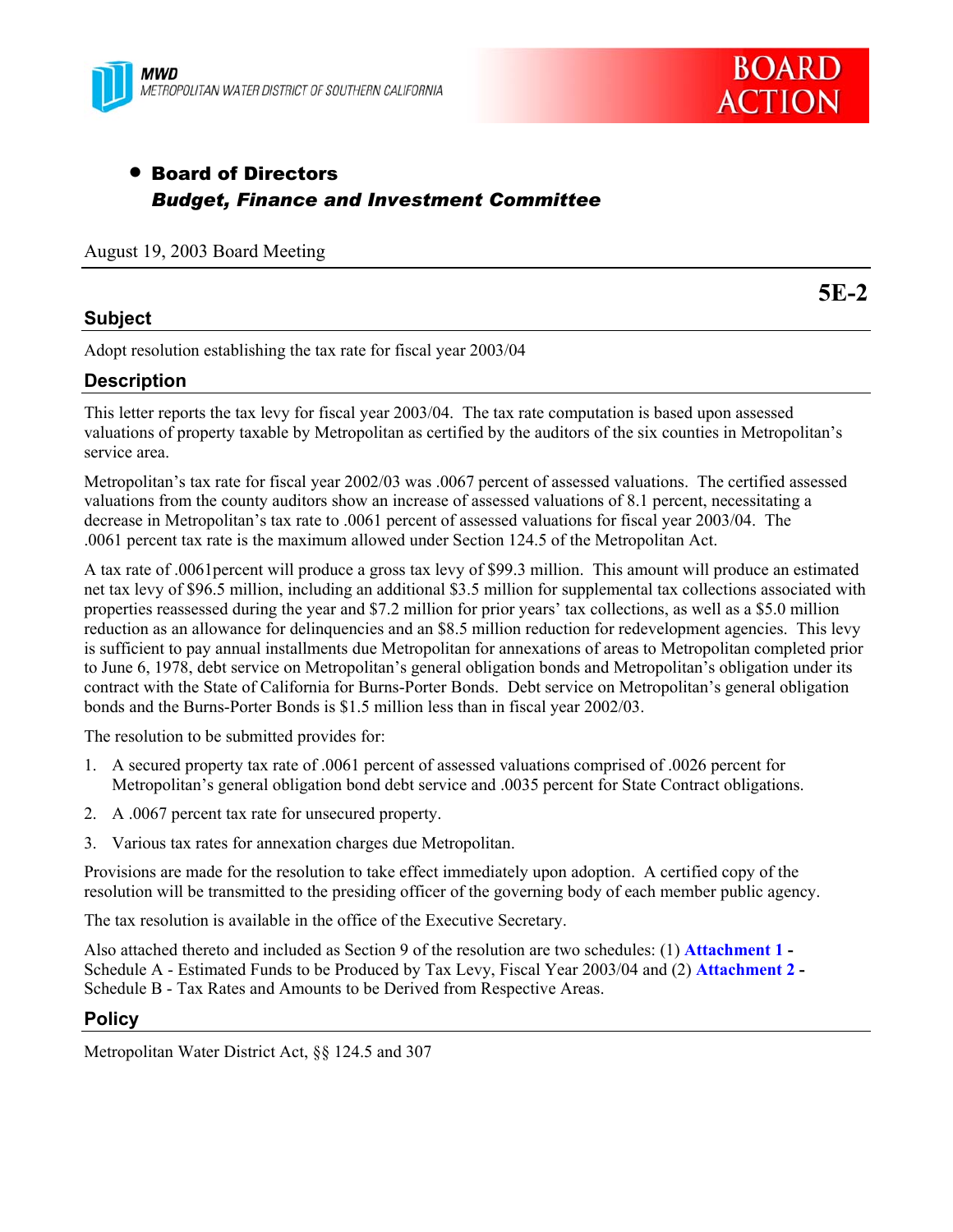



# • Board of Directors *Budget, Finance and Investment Committee*

#### August 19, 2003 Board Meeting

### **Subject**

**5E-2** 

Adopt resolution establishing the tax rate for fiscal year 2003/04

## **Description**

This letter reports the tax levy for fiscal year 2003/04. The tax rate computation is based upon assessed valuations of property taxable by Metropolitan as certified by the auditors of the six counties in Metropolitan's service area.

Metropolitan's tax rate for fiscal year 2002/03 was .0067 percent of assessed valuations. The certified assessed valuations from the county auditors show an increase of assessed valuations of 8.1 percent, necessitating a decrease in Metropolitan's tax rate to .0061 percent of assessed valuations for fiscal year 2003/04. The .0061 percent tax rate is the maximum allowed under Section 124.5 of the Metropolitan Act.

A tax rate of .0061percent will produce a gross tax levy of \$99.3 million. This amount will produce an estimated net tax levy of \$96.5 million, including an additional \$3.5 million for supplemental tax collections associated with properties reassessed during the year and \$7.2 million for prior years' tax collections, as well as a \$5.0 million reduction as an allowance for delinquencies and an \$8.5 million reduction for redevelopment agencies. This levy is sufficient to pay annual installments due Metropolitan for annexations of areas to Metropolitan completed prior to June 6, 1978, debt service on Metropolitan's general obligation bonds and Metropolitan's obligation under its contract with the State of California for Burns-Porter Bonds. Debt service on Metropolitan's general obligation bonds and the Burns-Porter Bonds is \$1.5 million less than in fiscal year 2002/03.

The resolution to be submitted provides for:

- 1. A secured property tax rate of .0061 percent of assessed valuations comprised of .0026 percent for Metropolitan's general obligation bond debt service and .0035 percent for State Contract obligations.
- 2. A .0067 percent tax rate for unsecured property.
- 3. Various tax rates for annexation charges due Metropolitan.

Provisions are made for the resolution to take effect immediately upon adoption. A certified copy of the resolution will be transmitted to the presiding officer of the governing body of each member public agency.

The tax resolution is available in the office of the Executive Secretary.

Also attached thereto and included as Section 9 of the resolution are two schedules: (1) **Attachment 1 -** Schedule A - Estimated Funds to be Produced by Tax Levy, Fiscal Year 2003/04 and (2) **Attachment 2 -** Schedule B - Tax Rates and Amounts to be Derived from Respective Areas.

### **Policy**

Metropolitan Water District Act, §§ 124.5 and 307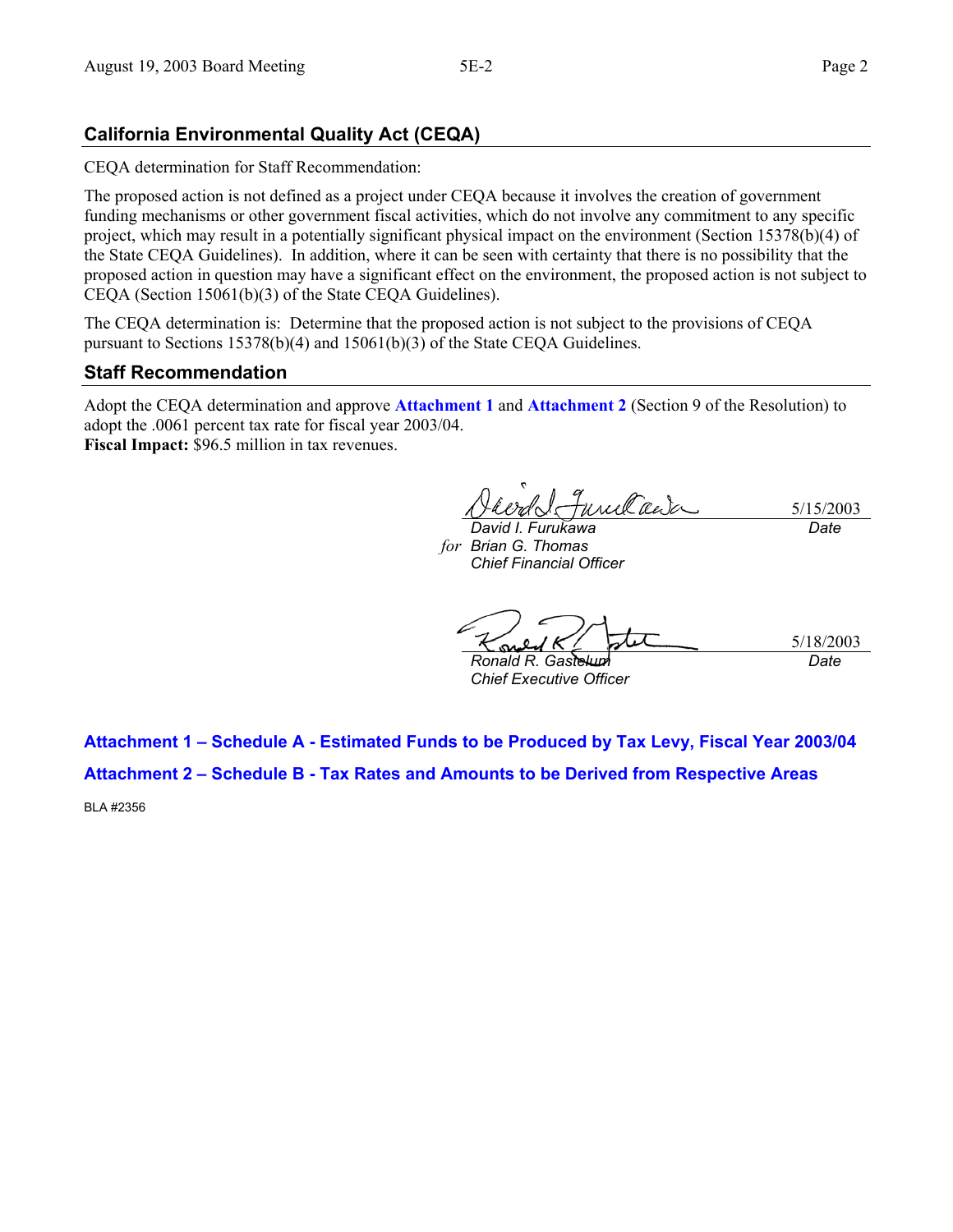## **California Environmental Quality Act (CEQA)**

CEQA determination for Staff Recommendation:

The proposed action is not defined as a project under CEQA because it involves the creation of government funding mechanisms or other government fiscal activities, which do not involve any commitment to any specific project, which may result in a potentially significant physical impact on the environment (Section 15378(b)(4) of the State CEQA Guidelines). In addition, where it can be seen with certainty that there is no possibility that the proposed action in question may have a significant effect on the environment, the proposed action is not subject to CEQA (Section 15061(b)(3) of the State CEQA Guidelines).

The CEQA determination is: Determine that the proposed action is not subject to the provisions of CEQA pursuant to Sections 15378(b)(4) and 15061(b)(3) of the State CEQA Guidelines.

## **Staff Recommendation**

Adopt the CEQA determination and approve **Attachment 1** and **Attachment 2** (Section 9 of the Resolution) to adopt the .0061 percent tax rate for fiscal year 2003/04. **Fiscal Impact:** \$96.5 million in tax revenues.

unelan 5/15/2003

*David I. Furukawa Brian G. Thomas forChief Financial Officer* 

*Date* 

5/18/2003 *Date* 

*Ronald R. Gastelum Chief Executive Officer* 

**Attachment 1 – Schedule A - Estimated Funds to be Produced by Tax Levy, Fiscal Year 2003/04 Attachment 2 – Schedule B - Tax Rates and Amounts to be Derived from Respective Areas** 

BLA #2356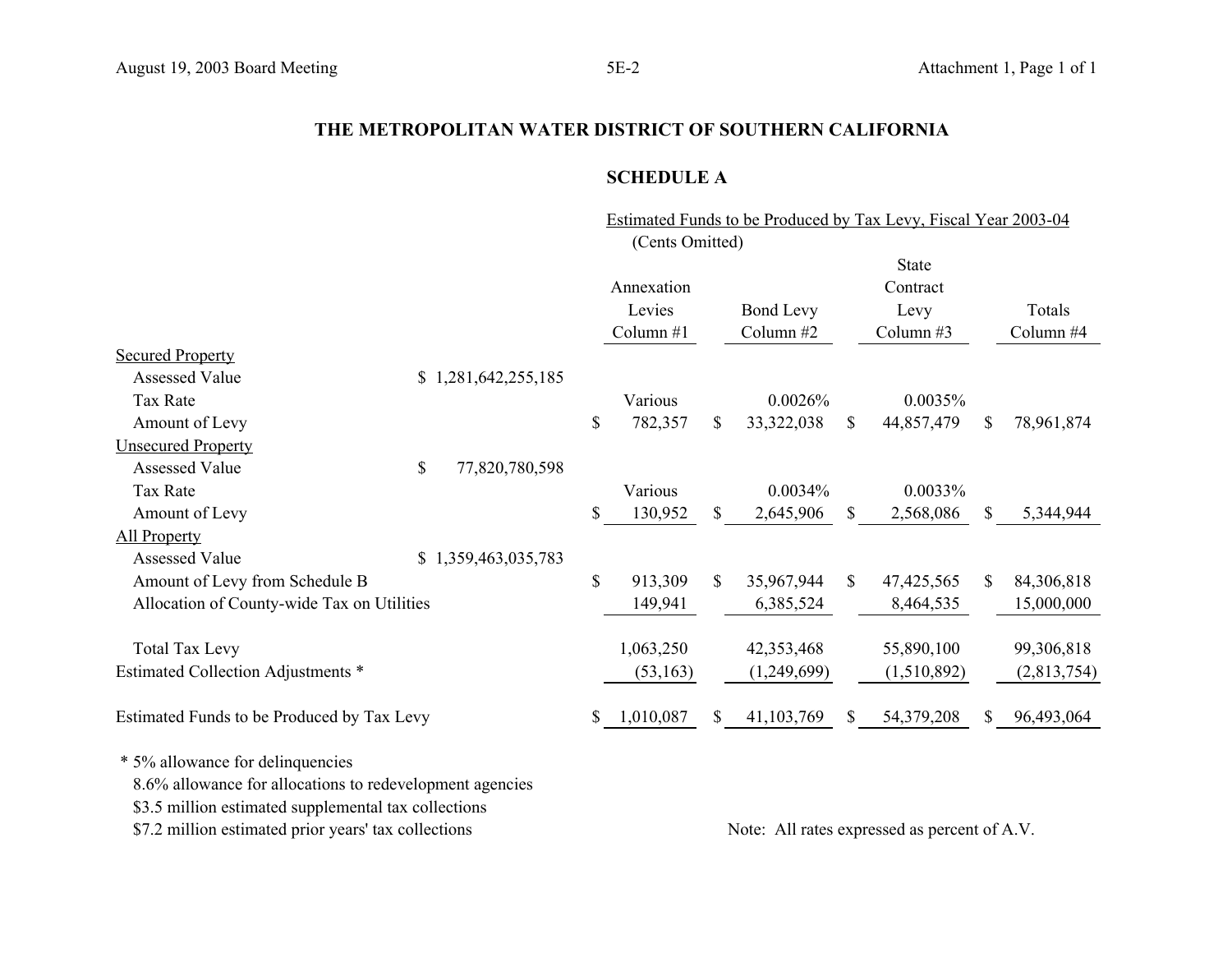## **SCHEDULE A**

Estimated Funds to be Produced by Tax Levy, Fiscal Year 2003-04 (Cents Omitted)

|                                                                                              |                      |                 |     |                  |              | <b>State</b> |    |             |
|----------------------------------------------------------------------------------------------|----------------------|-----------------|-----|------------------|--------------|--------------|----|-------------|
|                                                                                              |                      | Annexation      |     |                  |              | Contract     |    |             |
|                                                                                              |                      | Levies          |     | <b>Bond Levy</b> |              | Levy         |    | Totals      |
|                                                                                              |                      | Column $#1$     |     | Column #2        |              | Column $#3$  |    | Column #4   |
| <b>Secured Property</b>                                                                      |                      |                 |     |                  |              |              |    |             |
| <b>Assessed Value</b>                                                                        | \$1,281,642,255,185  |                 |     |                  |              |              |    |             |
| Tax Rate                                                                                     |                      | Various         |     | 0.0026%          |              | 0.0035%      |    |             |
| Amount of Levy                                                                               |                      | \$<br>782,357   | \$  | 33,322,038       | $\mathbb{S}$ | 44,857,479   | S. | 78,961,874  |
| <b>Unsecured Property</b>                                                                    |                      |                 |     |                  |              |              |    |             |
| Assessed Value                                                                               | \$<br>77,820,780,598 |                 |     |                  |              |              |    |             |
| Tax Rate                                                                                     |                      | Various         |     | 0.0034%          |              | 0.0033%      |    |             |
| Amount of Levy                                                                               |                      | \$<br>130,952   | \$  | 2,645,906        | S.           | 2,568,086    | S. | 5,344,944   |
| <b>All Property</b>                                                                          |                      |                 |     |                  |              |              |    |             |
| <b>Assessed Value</b>                                                                        | \$1,359,463,035,783  |                 |     |                  |              |              |    |             |
| Amount of Levy from Schedule B                                                               |                      | \$<br>913,309   | \$  | 35,967,944       | $\mathbb{S}$ | 47, 425, 565 | \$ | 84,306,818  |
| Allocation of County-wide Tax on Utilities                                                   |                      | 149,941         |     | 6,385,524        |              | 8,464,535    |    | 15,000,000  |
| <b>Total Tax Levy</b>                                                                        |                      | 1,063,250       |     | 42,353,468       |              | 55,890,100   |    | 99,306,818  |
| Estimated Collection Adjustments *                                                           |                      | (53, 163)       |     | (1,249,699)      |              | (1,510,892)  |    | (2,813,754) |
| Estimated Funds to be Produced by Tax Levy                                                   |                      | \$<br>1,010,087 | \$. | 41,103,769       | S.           | 54,379,208   | S. | 96,493,064  |
| * 5% allowance for delinquencies<br>8.6% allowance for allocations to redevelopment agencies |                      |                 |     |                  |              |              |    |             |

\$3.5 million estimated supplemental tax collections

\$7.2 million estimated prior years' tax collections Note: All rates expressed as percent of A.V.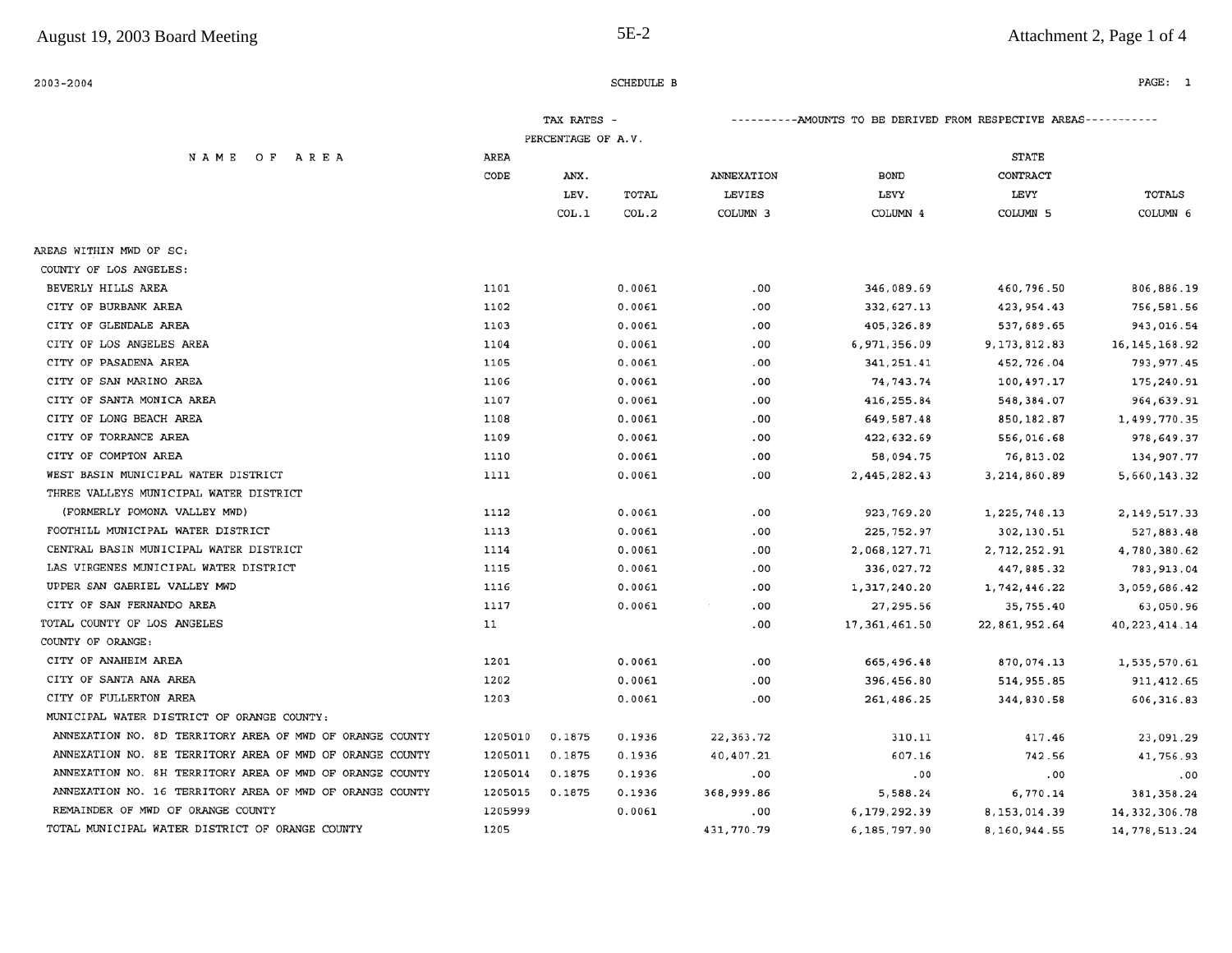| $2003 - 2004$                                            |         |                    | SCHEDULE B |                                                                  |                 |                     | PAGE: 1         |  |
|----------------------------------------------------------|---------|--------------------|------------|------------------------------------------------------------------|-----------------|---------------------|-----------------|--|
|                                                          |         | TAX RATES -        |            | ----------AMOUNTS TO BE DERIVED FROM RESPECTIVE AREAS----------- |                 |                     |                 |  |
|                                                          |         | PERCENTAGE OF A.V. |            |                                                                  |                 |                     |                 |  |
| NAME OF AREA                                             | AREA    |                    |            |                                                                  |                 | <b>STATE</b>        |                 |  |
|                                                          | CODE    | ANX.               |            | ANNEXATION                                                       | <b>BOND</b>     | CONTRACT            |                 |  |
|                                                          |         | LEV.               | TOTAL      | LEVIES                                                           | LEVY            | LEVY                | <b>TOTALS</b>   |  |
|                                                          |         | COL.1              | COL.2      | COLUMN <sub>3</sub>                                              | COLUMN 4        | COLUMN <sub>5</sub> | COLUMN 6        |  |
| AREAS WITHIN MWD OF SC:                                  |         |                    |            |                                                                  |                 |                     |                 |  |
| COUNTY OF LOS ANGELES:                                   |         |                    |            |                                                                  |                 |                     |                 |  |
| BEVERLY HILLS AREA                                       | 1101    |                    | 0.0061     | .00                                                              | 346,089.69      | 460,796.50          | 806,886.19      |  |
| CITY OF BURBANK AREA                                     | 1102    |                    | 0.0061     | .00                                                              | 332,627.13      | 423, 954.43         | 756,581.56      |  |
| CITY OF GLENDALE AREA                                    | 1103    |                    | 0.0061     | .00                                                              | 405,326.89      | 537,689.65          | 943,016.54      |  |
| CITY OF LOS ANGELES AREA                                 | 1104    |                    | 0.0061     | .00                                                              | 6,971,356.09    | 9,173,812.83        | 16, 145, 168.92 |  |
| CITY OF PASADENA AREA                                    | 1105    |                    | 0.0061     | .00                                                              | 341,251.41      | 452,726.04          | 793, 977.45     |  |
| CITY OF SAN MARINO AREA                                  | 1106    |                    | 0.0061     | .00                                                              | 74,743.74       | 100,497.17          | 175,240.91      |  |
| CITY OF SANTA MONICA AREA                                | 1107    |                    | 0.0061     | .00                                                              | 416,255.84      | 548, 384.07         | 964,639.91      |  |
| CITY OF LONG BEACH AREA                                  | 1108    |                    | 0.0061     | .00                                                              | 649,587.48      | 850,182.87          | 1,499,770.35    |  |
| CITY OF TORRANCE AREA                                    | 1109    |                    | 0.0061     | .00                                                              | 422,632.69      | 556,016.68          | 978,649.37      |  |
| CITY OF COMPTON AREA                                     | 1110    |                    | 0.0061     | .00                                                              | 58,094.75       | 76,813.02           | 134,907.77      |  |
| WEST BASIN MUNICIPAL WATER DISTRICT                      | 1111    |                    | 0.0061     | .00                                                              | 2,445,282.43    | 3,214,860.89        | 5,660,143.32    |  |
| THREE VALLEYS MUNICIPAL WATER DISTRICT                   |         |                    |            |                                                                  |                 |                     |                 |  |
| (FORMERLY POMONA VALLEY MWD)                             | 1112    |                    | 0.0061     | .00                                                              | 923,769.20      | 1,225,748.13        | 2, 149, 517.33  |  |
| FOOTHILL MUNICIPAL WATER DISTRICT                        | 1113    |                    | 0.0061     | .00                                                              | 225, 752.97     | 302,130.51          | 527,883.48      |  |
| CENTRAL BASIN MUNICIPAL WATER DISTRICT                   | 1114    |                    | 0.0061     | .00                                                              | 2,068,127.71    | 2,712,252.91        | 4,780,380.62    |  |
| LAS VIRGENES MUNICIPAL WATER DISTRICT                    | 1115    |                    | 0.0061     | .00                                                              | 336,027.72      | 447,885.32          | 783, 913.04     |  |
| UPPER SAN GABRIEL VALLEY MWD                             | 1116    |                    | 0.0061     | .00                                                              | 1,317,240.20    | 1,742,446.22        | 3,059,686.42    |  |
| CITY OF SAN FERNANDO AREA                                | 1117    |                    | 0.0061     | .00                                                              | 27,295.56       | 35,755.40           | 63,050.96       |  |
| TOTAL COUNTY OF LOS ANGELES                              | 11      |                    |            | .00                                                              | 17, 361, 461.50 | 22,861,952.64       | 40, 223, 414.14 |  |
| COUNTY OF ORANGE:                                        |         |                    |            |                                                                  |                 |                     |                 |  |
| CITY OF ANAHEIM AREA                                     | 1201    |                    | 0.0061     | .00                                                              | 665,496.48      | 870,074.13          | 1,535,570.61    |  |
| CITY OF SANTA ANA AREA                                   | 1202    |                    | 0.0061     | .00                                                              | 396,456.80      | 514, 955.85         | 911, 412.65     |  |
| CITY OF FULLERTON AREA                                   | 1203    |                    | 0.0061     | .00                                                              | 261,486.25      | 344,830.58          | 606,316.83      |  |
| MUNICIPAL WATER DISTRICT OF ORANGE COUNTY:               |         |                    |            |                                                                  |                 |                     |                 |  |
| ANNEXATION NO. 8D TERRITORY AREA OF MWD OF ORANGE COUNTY | 1205010 | 0.1875             | 0.1936     | 22, 363. 72                                                      | 310.11          | 417.46              | 23,091.29       |  |
| ANNEXATION NO. 8E TERRITORY AREA OF MWD OF ORANGE COUNTY | 1205011 | 0.1875             | 0.1936     | 40,407.21                                                        | 607.16          | 742.56              | 41,756.93       |  |
| ANNEXATION NO. 8H TERRITORY AREA OF MWD OF ORANGE COUNTY | 1205014 | 0.1875             | 0.1936     | .00                                                              | .00             | .00                 | .00             |  |
| ANNEXATION NO. 16 TERRITORY AREA OF MWD OF ORANGE COUNTY | 1205015 | 0.1875             | 0.1936     | 368,999.86                                                       | 5,588.24        | 6,770.14            | 381, 358.24     |  |
| REMAINDER OF MWD OF ORANGE COUNTY                        | 1205999 |                    | 0.0061     | .00                                                              | 6,179,292.39    | 8,153,014.39        | 14, 332, 306.78 |  |
| TOTAL MUNICIPAL WATER DISTRICT OF ORANGE COUNTY          | 1205    |                    |            | 431,770.79                                                       | 6,185,797.90    | 8,160,944.55        | 14,778,513.24   |  |

 $5E-2$ 

## Attachment 2, Page 1 of 4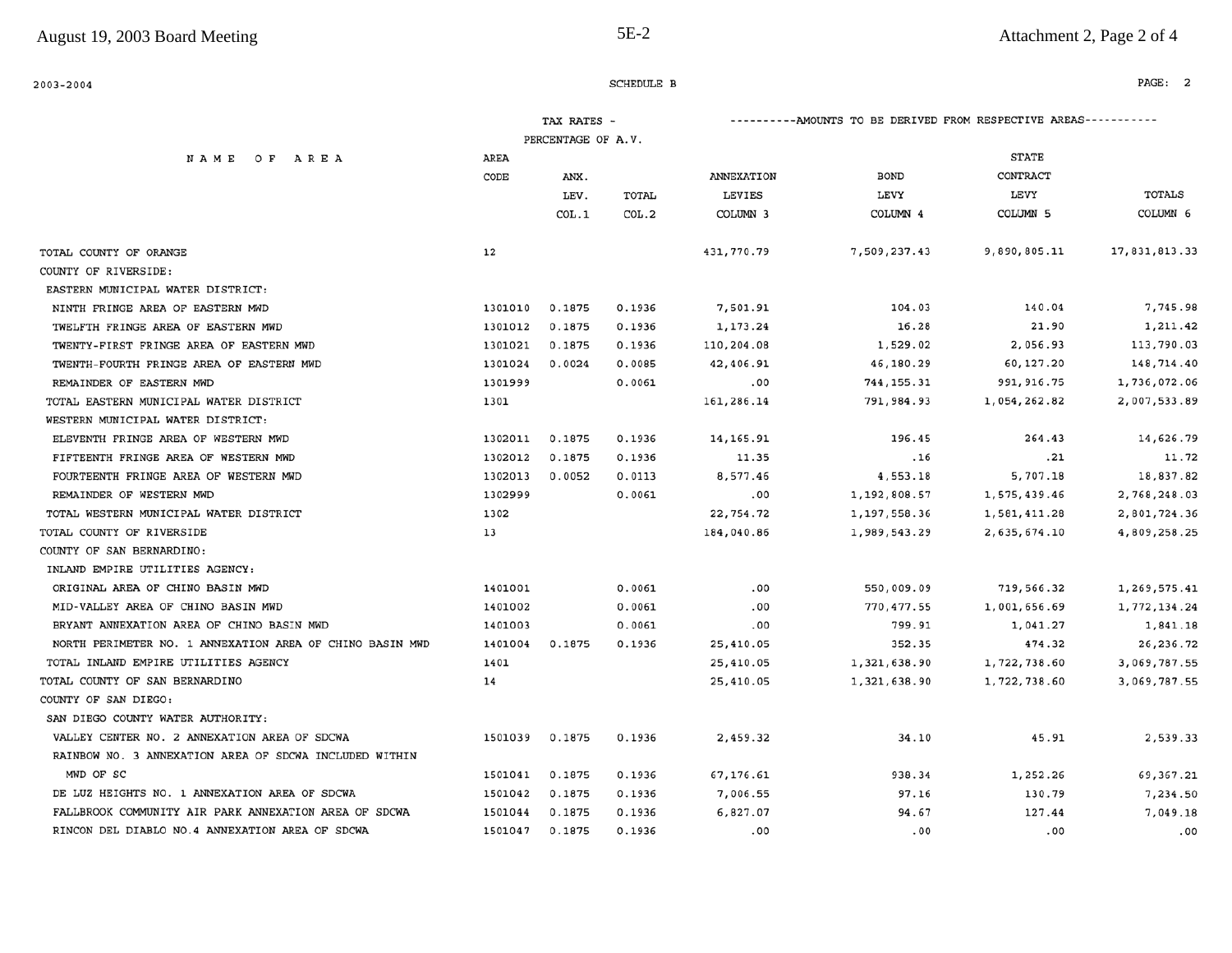| 2003-2004                                                |         |                                   | SCHEDULE B     |             |                                                                  |              | PAGE: 2       |  |  |
|----------------------------------------------------------|---------|-----------------------------------|----------------|-------------|------------------------------------------------------------------|--------------|---------------|--|--|
|                                                          |         | TAX RATES -<br>PERCENTAGE OF A.V. |                |             | ----------AMOUNTS TO BE DERIVED FROM RESPECTIVE AREAS----------- |              |               |  |  |
|                                                          | AREA    |                                   |                |             |                                                                  | <b>STATE</b> |               |  |  |
| NAME OF AREA                                             | CODE    |                                   |                | ANNEXATION  | <b>BOND</b>                                                      | CONTRACT     |               |  |  |
|                                                          |         | ANX.                              |                | LEVIES      | LEVY                                                             | LEVY         | TOTALS        |  |  |
|                                                          |         | LEV.<br>COL.1                     | TOTAL<br>COL.2 | COLUMN 3    | COLUMN 4                                                         | COLUMN 5     | COLUMN 6      |  |  |
|                                                          |         |                                   |                |             |                                                                  |              |               |  |  |
| TOTAL COUNTY OF ORANGE                                   | 12      |                                   |                | 431,770.79  | 7,509,237.43                                                     | 9,890,805.11 | 17,831,813.33 |  |  |
| COUNTY OF RIVERSIDE:                                     |         |                                   |                |             |                                                                  |              |               |  |  |
| EASTERN MUNICIPAL WATER DISTRICT:                        |         |                                   |                |             |                                                                  |              |               |  |  |
| NINTH FRINGE AREA OF EASTERN MWD                         | 1301010 | 0.1875                            | 0.1936         | 7,501.91    | 104.03                                                           | 140.04       | 7,745.98      |  |  |
| TWELFTH FRINGE AREA OF EASTERN MWD                       | 1301012 | 0.1875                            | 0.1936         | 1,173.24    | 16.28                                                            | 21.90        | 1,211.42      |  |  |
| TWENTY-FIRST FRINGE AREA OF EASTERN MWD                  | 1301021 | 0.1875                            | 0.1936         | 110,204.08  | 1,529.02                                                         | 2,056.93     | 113,790.03    |  |  |
| TWENTH-FOURTH FRINGE AREA OF EASTERN MWD                 | 1301024 | 0.0024                            | 0.0085         | 42,406.91   | 46,180.29                                                        | 60,127.20    | 148,714.40    |  |  |
| REMAINDER OF EASTERN MWD                                 | 1301999 |                                   | 0.0061         | .00         | 744, 155.31                                                      | 991, 916.75  | 1,736,072.06  |  |  |
| TOTAL EASTERN MUNICIPAL WATER DISTRICT                   | 1301    |                                   |                | 161,286.14  | 791,984.93                                                       | 1,054,262.82 | 2,007,533.89  |  |  |
| WESTERN MUNICIPAL WATER DISTRICT:                        |         |                                   |                |             |                                                                  |              |               |  |  |
| ELEVENTH FRINGE AREA OF WESTERN MWD                      | 1302011 | 0.1875                            | 0.1936         | 14, 165. 91 | 196.45                                                           | 264.43       | 14,626.79     |  |  |
| FIFTEENTH FRINGE AREA OF WESTERN MWD                     | 1302012 | 0.1875                            | 0.1936         | 11.35       | .16                                                              | .21          | 11.72         |  |  |
| FOURTEENTH FRINGE AREA OF WESTERN MWD                    | 1302013 | 0.0052                            | 0.0113         | 8,577.46    | 4,553.18                                                         | 5,707.18     | 18,837.82     |  |  |
| REMAINDER OF WESTERN MWD                                 | 1302999 |                                   | 0.0061         | .00         | 1,192,808.57                                                     | 1,575,439.46 | 2,768,248.03  |  |  |
| TOTAL WESTERN MUNICIPAL WATER DISTRICT                   | 1302    |                                   |                | 22,754.72   | 1,197,558.36                                                     | 1,581,411.28 | 2,801,724.36  |  |  |
| TOTAL COUNTY OF RIVERSIDE                                | 13      |                                   |                | 184,040.86  | 1,989,543.29                                                     | 2,635,674.10 | 4,809,258.25  |  |  |
| COUNTY OF SAN BERNARDINO:                                |         |                                   |                |             |                                                                  |              |               |  |  |
| INLAND EMPIRE UTILITIES AGENCY:                          |         |                                   |                |             |                                                                  |              |               |  |  |
| ORIGINAL AREA OF CHINO BASIN MWD                         | 1401001 |                                   | 0.0061         | .00         | 550,009.09                                                       | 719,566.32   | 1,269,575.41  |  |  |
| MID-VALLEY AREA OF CHINO BASIN MWD                       | 1401002 |                                   | 0.0061         | .00         | 770,477.55                                                       | 1,001,656.69 | 1,772,134.24  |  |  |
| BRYANT ANNEXATION AREA OF CHINO BASIN MWD                | 1401003 |                                   | 0.0061         | .00         | 799.91                                                           | 1,041.27     | 1,841.18      |  |  |
| NORTH PERIMETER NO. 1 ANNEXATION AREA OF CHINO BASIN MWD | 1401004 | 0.1875                            | 0.1936         | 25,410.05   | 352.35                                                           | 474.32       | 26,236.72     |  |  |
| TOTAL INLAND EMPIRE UTILITIES AGENCY                     | 1401    |                                   |                | 25,410.05   | 1,321,638.90                                                     | 1,722,738.60 | 3,069,787.55  |  |  |
| TOTAL COUNTY OF SAN BERNARDINO                           | 14      |                                   |                | 25,410.05   | 1,321,638.90                                                     | 1,722,738.60 | 3,069,787.55  |  |  |
| COUNTY OF SAN DIEGO:                                     |         |                                   |                |             |                                                                  |              |               |  |  |
| SAN DIEGO COUNTY WATER AUTHORITY:                        |         |                                   |                |             |                                                                  |              |               |  |  |
| VALLEY CENTER NO. 2 ANNEXATION AREA OF SDCWA             | 1501039 | 0.1875                            | 0.1936         | 2,459.32    | 34.10                                                            | 45.91        | 2,539.33      |  |  |
| RAINBOW NO. 3 ANNEXATION AREA OF SDCWA INCLUDED WITHIN   |         |                                   |                |             |                                                                  |              |               |  |  |
| MWD OF SC                                                | 1501041 | 0.1875                            | 0.1936         | 67,176.61   | 938.34                                                           | 1,252.26     | 69,367.21     |  |  |
| DE LUZ HEIGHTS NO. 1 ANNEXATION AREA OF SDCWA            | 1501042 | 0.1875                            | 0.1936         | 7,006.55    | 97.16                                                            | 130.79       | 7,234.50      |  |  |
| FALLBROOK COMMUNITY AIR PARK ANNEXATION AREA OF SDCWA    | 1501044 | 0.1875                            | 0.1936         | 6,827.07    | 94.67                                                            | 127.44       | 7,049.18      |  |  |
| RINCON DEL DIABLO NO.4 ANNEXATION AREA OF SDCWA          | 1501047 | 0.1875                            | 0.1936         | .00         | .00                                                              | .00          | .00           |  |  |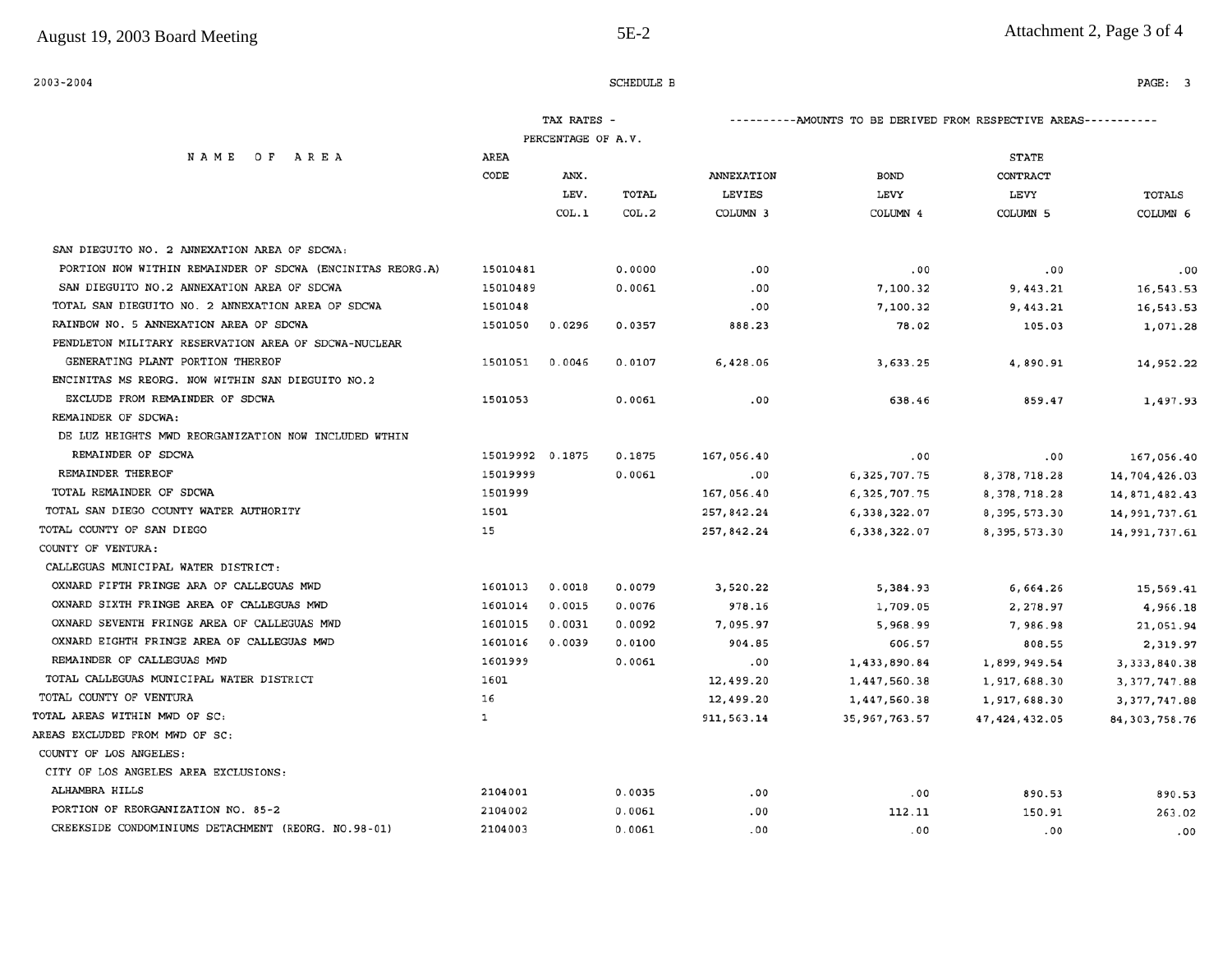| 2003-2004                                                 |                 |                                                                  | SCHEDULE B |            |                 |                 | PAGE: 3          |
|-----------------------------------------------------------|-----------------|------------------------------------------------------------------|------------|------------|-----------------|-----------------|------------------|
|                                                           |                 | ----------AMOUNTS TO BE DERIVED FROM RESPECTIVE AREAS----------- |            |            |                 |                 |                  |
|                                                           |                 | PERCENTAGE OF A.V.                                               |            |            |                 |                 |                  |
| NAME OF AREA                                              | AREA            |                                                                  |            |            |                 | <b>STATE</b>    |                  |
|                                                           | CODE            | ANX.                                                             |            | ANNEXATION | <b>BOND</b>     | CONTRACT        |                  |
|                                                           |                 | LEV.                                                             | TOTAL      | LEVIES     | LEVY            | LEVY            | <b>TOTALS</b>    |
|                                                           |                 | COL.1                                                            | COL.2      | COLUMN 3   | COLUMN 4        | COLUMN 5        | COLUMN 6         |
| SAN DIEGUITO NO. 2 ANNEXATION AREA OF SDCWA:              |                 |                                                                  |            |            |                 |                 |                  |
| PORTION NOW WITHIN REMAINDER OF SDCWA (ENCINITAS REORG.A) | 15010481        |                                                                  | 0.0000     | .00        | .00             | .00             | .00              |
| SAN DIEGUITO NO.2 ANNEXATION AREA OF SDCWA                | 15010489        |                                                                  | 0.0061     | .00        | 7,100.32        | 9,443.21        | 16,543.53        |
| TOTAL SAN DIEGUITO NO. 2 ANNEXATION AREA OF SDCWA         | 1501048         |                                                                  |            | .00        | 7,100.32        | 9,443.21        | 16,543.53        |
| RAINBOW NO. 5 ANNEXATION AREA OF SDCWA                    | 1501050         | 0.0296                                                           | 0.0357     | 888.23     | 78.02           | 105.03          | 1,071.28         |
| PENDLETON MILITARY RESERVATION AREA OF SDCWA-NUCLEAR      |                 |                                                                  |            |            |                 |                 |                  |
| GENERATING PLANT PORTION THEREOF                          | 1501051         | 0.0046                                                           | 0.0107     | 6,428.06   | 3,633.25        | 4,890.91        | 14,952.22        |
| ENCINITAS MS REORG. NOW WITHIN SAN DIEGUITO NO.2          |                 |                                                                  |            |            |                 |                 |                  |
| EXCLUDE FROM REMAINDER OF SDCWA                           | 1501053         |                                                                  | 0.0061     | .00        | 638.46          | 859.47          | 1,497.93         |
| REMAINDER OF SDCWA:                                       |                 |                                                                  |            |            |                 |                 |                  |
| DE LUZ HEIGHTS MWD REORGANIZATION NOW INCLUDED WTHIN      |                 |                                                                  |            |            |                 |                 |                  |
| REMAINDER OF SDCWA                                        | 15019992 0.1875 |                                                                  | 0.1875     | 167,056.40 | .00             | .00             | 167,056.40       |
| REMAINDER THEREOF                                         | 15019999        |                                                                  | 0.0061     | .00        | 6,325,707.75    | 8, 378, 718.28  | 14,704,426.03    |
| TOTAL REMAINDER OF SDCWA                                  | 1501999         |                                                                  |            | 167,056.40 | 6,325,707.75    | 8, 378, 718.28  | 14,871,482.43    |
| TOTAL SAN DIEGO COUNTY WATER AUTHORITY                    | 1501            |                                                                  |            | 257,842.24 | 6,338,322.07    | 8,395,573.30    | 14,991,737.61    |
| TOTAL COUNTY OF SAN DIEGO                                 | 15              |                                                                  |            | 257,842.24 | 6,338,322.07    | 8, 395, 573.30  | 14,991,737.61    |
| COUNTY OF VENTURA:                                        |                 |                                                                  |            |            |                 |                 |                  |
| CALLEGUAS MUNICIPAL WATER DISTRICT:                       |                 |                                                                  |            |            |                 |                 |                  |
| OXNARD FIFTH FRINGE ARA OF CALLEGUAS MWD                  | 1601013         | 0.0018                                                           | 0.0079     | 3,520.22   | 5,384.93        | 6,664.26        | 15,569.41        |
| OXNARD SIXTH FRINGE AREA OF CALLEGUAS MWD                 | 1601014         | 0.0015                                                           | 0.0076     | 978.16     | 1,709.05        | 2,278.97        | 4,966.18         |
| OXNARD SEVENTH FRINGE AREA OF CALLEGUAS MWD               | 1601015         | 0.0031                                                           | 0.0092     | 7,095.97   | 5,968.99        | 7,986.98        | 21,051.94        |
| OXNARD EIGHTH FRINGE AREA OF CALLEGUAS MWD                | 1601016         | 0.0039                                                           | 0.0100     | 904.85     | 606.57          | 808.55          | 2,319.97         |
| REMAINDER OF CALLEGUAS MWD                                | 1601999         |                                                                  | 0.0061     | .00        | 1,433,890.84    | 1,899,949.54    | 3, 333, 840.38   |
| TOTAL CALLEGUAS MUNICIPAL WATER DISTRICT                  | 1601            |                                                                  |            | 12,499.20  | 1,447,560.38    | 1,917,688.30    | 3, 377, 747.88   |
| TOTAL COUNTY OF VENTURA                                   | 16              |                                                                  |            | 12,499.20  | 1,447,560.38    | 1,917,688.30    | 3, 377, 747.88   |
| TOTAL AREAS WITHIN MWD OF SC:                             | ı               |                                                                  |            | 911,563.14 | 35, 967, 763.57 | 47, 424, 432.05 | 84, 303, 758. 76 |
| AREAS EXCLUDED FROM MWD OF SC:                            |                 |                                                                  |            |            |                 |                 |                  |
| COUNTY OF LOS ANGELES:                                    |                 |                                                                  |            |            |                 |                 |                  |
| CITY OF LOS ANGELES AREA EXCLUSIONS:                      |                 |                                                                  |            |            |                 |                 |                  |
| ALHAMBRA HILLS                                            | 2104001         |                                                                  | 0.0035     | .00        | .00             | 890.53          | 890.53           |
| PORTION OF REORGANIZATION NO. 85-2                        | 2104002         |                                                                  | 0.0061     | .00        | 112.11          | 150.91          | 263.02           |
| CREEKSIDE CONDOMINIUMS DETACHMENT (REORG. NO.98-01)       | 2104003         |                                                                  | 0.0061     | .00        | .00             | .00             | .00              |